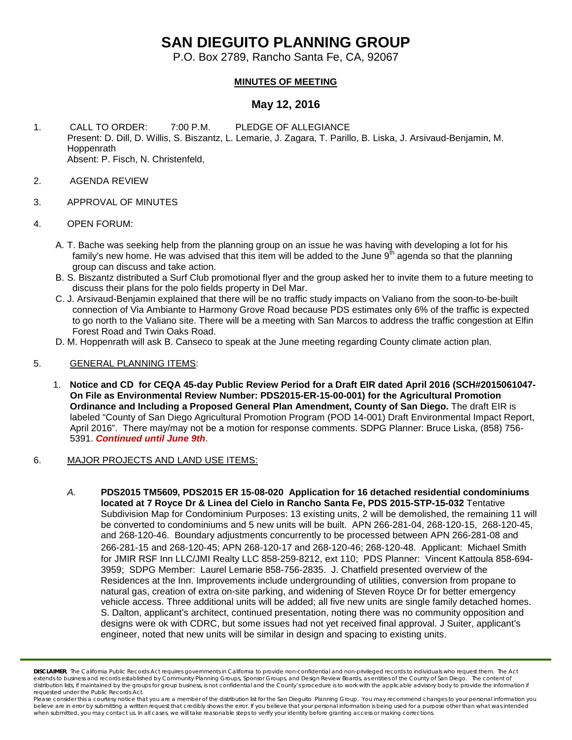# **SAN DIEGUITO PLANNING GROUP**

P.O. Box 2789, Rancho Santa Fe, CA, 92067

## **MINUTES OF MEETING**

# **May 12, 2016**

- 1. CALL TO ORDER: 7:00 P.M. PLEDGE OF ALLEGIANCE Present: D. Dill, D. Willis, S. Biszantz, L. Lemarie, J. Zagara, T. Parillo, B. Liska, J. Arsivaud-Benjamin, M. Hoppenrath Absent: P. Fisch, N. Christenfeld,
- 2. AGENDA REVIEW
- 3. APPROVAL OF MINUTES
- 4. OPEN FORUM:
	- A. T. Bache was seeking help from the planning group on an issue he was having with developing a lot for his family's new home. He was advised that this item will be added to the June  $9<sup>th</sup>$  agenda so that the planning group can discuss and take action.
	- B. S. Biszantz distributed a Surf Club promotional flyer and the group asked her to invite them to a future meeting to discuss their plans for the polo fields property in Del Mar.
	- C. J. Arsivaud-Benjamin explained that there will be no traffic study impacts on Valiano from the soon-to-be-built connection of Via Ambiante to Harmony Grove Road because PDS estimates only 6% of the traffic is expected to go north to the Valiano site. There will be a meeting with San Marcos to address the traffic congestion at Elfin Forest Road and Twin Oaks Road.
	- D. M. Hoppenrath will ask B. Canseco to speak at the June meeting regarding County climate action plan.

#### 5. GENERAL PLANNING ITEMS:

1. **Notice and CD for CEQA 45-day Public Review Period for a Draft EIR dated April 2016 (SCH#2015061047- On File as Environmental Review Number: PDS2015-ER-15-00-001) for the Agricultural Promotion Ordinance and Including a Proposed General Plan Amendment, County of San Diego.** The draft EIR is labeled "County of San Diego Agricultural Promotion Program (POD 14-001) Draft Environmental Impact Report, April 2016". There may/may not be a motion for response comments. SDPG Planner: Bruce Liska, (858) 756- 5391. *Continued until June 9th*.

## 6. MAJOR PROJECTS AND LAND USE ITEMS:

*A.* **PDS2015 TM5609, PDS2015 ER 15-08-020 Application for 16 detached residential condominiums located at 7 Royce Dr & Linea del Cielo in Rancho Santa Fe, PDS 2015-STP-15-032** Tentative Subdivision Map for Condominium Purposes: 13 existing units, 2 will be demolished, the remaining 11 will be converted to condominiums and 5 new units will be built. APN 266-281-04, 268-120-15, 268-120-45, and 268-120-46. Boundary adjustments concurrently to be processed between APN 266-281-08 and 266-281-15 and 268-120-45; APN 268-120-17 and 268-120-46; 268-120-48. Applicant: Michael Smith for JMIR RSF Inn LLC/JMI Realty LLC 858-259-8212, ext 110; PDS Planner: Vincent Kattoula 858-694- 3959; SDPG Member: Laurel Lemarie 858-756-2835. J. Chatfield presented overview of the Residences at the Inn. Improvements include undergrounding of utilities, conversion from propane to natural gas, creation of extra on-site parking, and widening of Steven Royce Dr for better emergency vehicle access. Three additional units will be added; all five new units are single family detached homes. S. Dalton, applicant's architect, continued presentation, noting there was no community opposition and designs were ok with CDRC, but some issues had not yet received final approval. J Suiter, applicant's engineer, noted that new units will be similar in design and spacing to existing units.

*DISCLAIMER; The California Public Records Act requires governments in California to provide non-confidential and non-privileged records to individuals who request them. The Act*  extends to business and records established by Community Planning Groups, Sponsor Groups, and Design Review Boards, as entities of the County of San Diego. The content of distribution lists, if maintained by the groups for group business, is not confidential and the County's procedure is to work with the applicable advisory body to provide the information if *requested under the Public Records Act.*

Please consider this a courtesy notice that you are a member of the distribution list for the San Dieguito Planning Group. You may recommend changes to your personal information you believe are in error by submitting a written request that credibly shows the error. If you believe that your personal information is being used for a purpose other than what was intended<br>when submitted, you may contact us.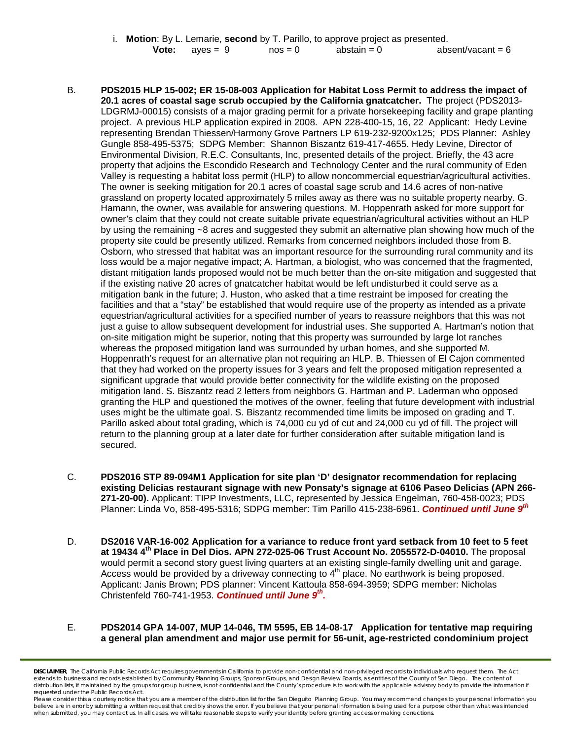|  |                         |           | Motion: By L. Lemarie, second by T. Parillo, to approve project as presented. |                     |
|--|-------------------------|-----------|-------------------------------------------------------------------------------|---------------------|
|  | <b>Vote:</b> $aves = 9$ | $nos = 0$ | abstain $= 0$                                                                 | absent/vacant = $6$ |

- B. **PDS2015 HLP 15-002; ER 15-08-003 Application for Habitat Loss Permit to address the impact of 20.1 acres of coastal sage scrub occupied by the California gnatcatcher.** The project (PDS2013- LDGRMJ-00015) consists of a major grading permit for a private horsekeeping facility and grape planting project. A previous HLP application expired in 2008. APN 228-400-15, 16, 22 Applicant: Hedy Levine representing Brendan Thiessen/Harmony Grove Partners LP 619-232-9200x125; PDS Planner: Ashley Gungle 858-495-5375; SDPG Member: Shannon Biszantz 619-417-4655. Hedy Levine, Director of Environmental Division, R.E.C. Consultants, Inc, presented details of the project. Briefly, the 43 acre property that adjoins the Escondido Research and Technology Center and the rural community of Eden Valley is requesting a habitat loss permit (HLP) to allow noncommercial equestrian/agricultural activities. The owner is seeking mitigation for 20.1 acres of coastal sage scrub and 14.6 acres of non-native grassland on property located approximately 5 miles away as there was no suitable property nearby. G. Hamann, the owner, was available for answering questions. M. Hoppenrath asked for more support for owner's claim that they could not create suitable private equestrian/agricultural activities without an HLP by using the remaining ~8 acres and suggested they submit an alternative plan showing how much of the property site could be presently utilized. Remarks from concerned neighbors included those from B. Osborn, who stressed that habitat was an important resource for the surrounding rural community and its loss would be a major negative impact; A. Hartman, a biologist, who was concerned that the fragmented, distant mitigation lands proposed would not be much better than the on-site mitigation and suggested that if the existing native 20 acres of gnatcatcher habitat would be left undisturbed it could serve as a mitigation bank in the future; J. Huston, who asked that a time restraint be imposed for creating the facilities and that a "stay" be established that would require use of the property as intended as a private equestrian/agricultural activities for a specified number of years to reassure neighbors that this was not just a guise to allow subsequent development for industrial uses. She supported A. Hartman's notion that on-site mitigation might be superior, noting that this property was surrounded by large lot ranches whereas the proposed mitigation land was surrounded by urban homes, and she supported M. Hoppenrath's request for an alternative plan not requiring an HLP. B. Thiessen of El Cajon commented that they had worked on the property issues for 3 years and felt the proposed mitigation represented a significant upgrade that would provide better connectivity for the wildlife existing on the proposed mitigation land. S. Biszantz read 2 letters from neighbors G. Hartman and P. Laderman who opposed granting the HLP and questioned the motives of the owner, feeling that future development with industrial uses might be the ultimate goal. S. Biszantz recommended time limits be imposed on grading and T. Parillo asked about total grading, which is 74,000 cu yd of cut and 24,000 cu yd of fill. The project will return to the planning group at a later date for further consideration after suitable mitigation land is secured.
- C. **PDS2016 STP 89-094M1 Application for site plan 'D' designator recommendation for replacing existing Delicias restaurant signage with new Ponsaty's signage at 6106 Paseo Delicias (APN 266- 271-20-00).** Applicant: TIPP Investments, LLC, represented by Jessica Engelman, [760-458-0023;](tel:760-458-0023) PDS Planner: Linda Vo, [858-495-5316;](tel:858-495-5316) SDPG member: Tim Parillo [415-238-6961.](tel:415-238-6961) *Continued until June 9th*
- D. **DS2016 VAR-16-002 Application for a variance to reduce front yard setback from 10 feet to 5 feet at 19434 4th Place in Del Dios. APN 272-025-06 Trust Account No. 2055572-D-04010.** The proposal would permit a second story guest living quarters at an existing single-family dwelling unit and garage. Access would be provided by a driveway connecting to  $4<sup>th</sup>$  place. No earthwork is being proposed. Applicant: Janis Brown; PDS planner: Vincent Kattoula 858-694-3959; SDPG member: Nicholas Christenfeld 760-741-1953. *Continued until June 9th.*

#### E. **PDS2014 GPA 14-007, MUP 14-046, TM 5595, EB 14-08-17 Application for tentative map requiring a general plan amendment and major use permit for 56-unit, age-restricted condominium project**

*DISCLAIMER; The California Public Records Act requires governments in California to provide non-confidential and non-privileged records to individuals who request them. The Act*  extends to business and records established by Community Planning Groups, Sponsor Groups, and Design Review Boards, as entities of the County of San Diego. The content of distribution lists, if maintained by the groups for group business, is not confidential and the County's procedure is to work with the applicable advisory body to provide the information if *requested under the Public Records Act.*

Please consider this a courtesy notice that you are a member of the distribution list for the San Dieguito Planning Group. You may recommend changes to your personal information you believe are in error by submitting a written request that credibly shows the error. If you believe that your personal information is being used for a purpose other than what was intended<br>when submitted, you may contact us.